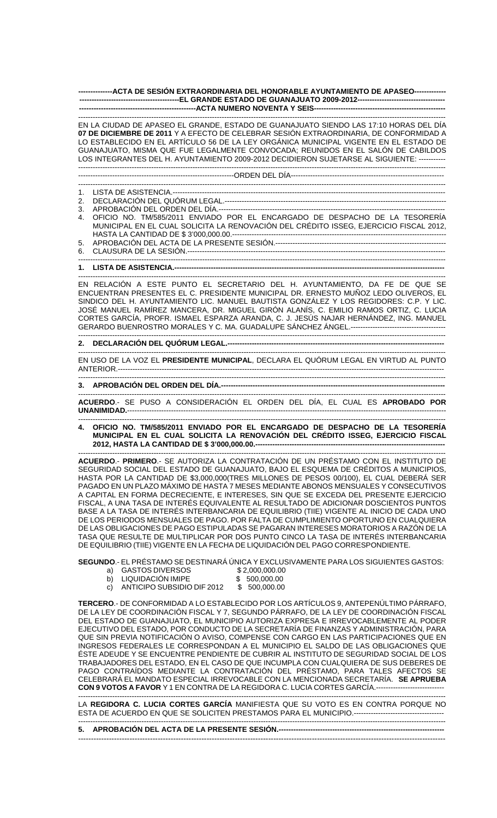**--------------ACTA DE SESIÓN EXTRAORDINARIA DEL HONORABLE AYUNTAMIENTO DE APASEO------------- -----------------------------------------EL GRANDE ESTADO DE GUANAJUATO 2009-2012------------------------------------ ------------------------------------------------ACTA NUMERO NOVENTA Y SEIS------------------------------------------------------** 

------------------------------------------------------------------------------------------------------------------------------------------------------- EN LA CIUDAD DE APASEO EL GRANDE, ESTADO DE GUANAJUATO SIENDO LAS 17:10 HORAS DEL DÍA **07 DE DICIEMBRE DE 2011** Y A EFECTO DE CELEBRAR SESIÓN EXTRAORDINARIA, DE CONFORMIDAD A LO ESTABLECIDO EN EL ARTÍCULO 56 DE LA LEY ORGÁNICA MUNICIPAL VIGENTE EN EL ESTADO DE GUANAJUATO, MISMA QUE FUE LEGALMENTE CONVOCADA; REUNIDOS EN EL SALÓN DE CABILDOS LOS INTEGRANTES DEL H. AYUNTAMIENTO 2009-2012 DECIDIERON SUJETARSE AL SIGUIENTE: ----------- -------------------------------------------------------------------------------------------------------------------------------------------------------

----------------------------------------------------------------ORDEN DEL DÍA---------------------------------------------------------------

------------------------------------------------------------------------------------------------------------------------------------------------------- 1. LISTA DE ASISTENCIA.----------------------------------------------------------------------------------------------------------------

2. DECLARACIÓN DEL QUÓRUM LEGAL.-------------------------------------------------------------------------------------------

3. APROBACIÓN DEL ORDEN DEL DÍA.--

4. OFICIO NO. TM/585/2011 ENVIADO POR EL ENCARGADO DE DESPACHO DE LA TESORERÍA MUNICIPAL EN EL CUAL SOLICITA LA RENOVACIÓN DEL CRÉDITO ISSEG, EJERCICIO FISCAL 2012, HASTA LA CANTIDAD DE \$ 3'000,000.00.-----------5. APROBACIÓN DEL ACTA DE LA PRESENTE SESIÓN.----------------------------------------------------------------------

-------------------------------------------------------------------------------------------------------------------------------------------------------

-------------------------------------------------------------------------------------------------------------------------------------------------------

6. CLAUSURA DE LA SESIÓN.----------------------------------------------------------------------------------------------------------

## **1. LISTA DE ASISTENCIA.---------------------------------------------------------------------------------------------------------------**

------------------------------------------------------------------------------------------------------------------------------------------------------- EN RELACIÓN A ESTE PUNTO EL SECRETARIO DEL H. AYUNTAMIENTO, DA FE DE QUE SE ENCUENTRAN PRESENTES EL C. PRESIDENTE MUNICIPAL DR. ERNESTO MUÑOZ LEDO OLIVEROS, EL SINDICO DEL H. AYUNTAMIENTO LIC. MANUEL BAUTISTA GONZÁLEZ Y LOS REGIDORES: C.P. Y LIC. JOSÉ MANUEL RAMÍREZ MANCERA, DR. MIGUEL GIRÓN ALANÍS, C. EMILIO RAMOS ORTIZ, C. LUCIA CORTES GARCÍA, PROFR. ISMAEL ESPARZA ARANDA, C. J. JESÚS NAJAR HERNÁNDEZ, ING. MANUEL GERARDO BUENROSTRO MORALES Y C. MA. GUADALUPE SÁNCHEZ ÁNGEL.---------------------------------------

------------------------------------------------------------------------------------------------------------------------------------------------------- 2. DECLARACIÓN DEL QUÓRUM LEGAL.---

------------------------------------------------------------------------------------------------------------------------------------------------------- EN USO DE LA VOZ EL **PRESIDENTE MUNICIPAL**, DECLARA EL QUÓRUM LEGAL EN VIRTUD AL PUNTO ANTERIOR.--------------------------------------------------------------------------------------------------------------------------------------

## **3. APROBACIÓN DEL ORDEN DEL DÍA.---**

------------------------------------------------------------------------------------------------------------------------------------------------------- **ACUERDO**.- SE PUSO A CONSIDERACIÓN EL ORDEN DEL DÍA, EL CUAL ES **APROBADO POR UNANIMIDAD.**-----------------------------------------------------------------------------------------------------------------------------------

------------------------------------------------------------------------------------------------------------------------------------------------------- **4. OFICIO NO. TM/585/2011 ENVIADO POR EL ENCARGADO DE DESPACHO DE LA TESORERÍA MUNICIPAL EN EL CUAL SOLICITA LA RENOVACIÓN DEL CRÉDITO ISSEG, EJERCICIO FISCAL**  2012, HASTA LA CANTIDAD DE \$ 3'000,000.00.---------------

------------------------------------------------------------------------------------------------------------------------------------------------------- **ACUERDO**.- **PRIMERO**.- SE AUTORIZA LA CONTRATACIÓN DE UN PRÉSTAMO CON EL INSTITUTO DE SEGURIDAD SOCIAL DEL ESTADO DE GUANAJUATO, BAJO EL ESQUEMA DE CRÉDITOS A MUNICIPIOS, HASTA POR LA CANTIDAD DE \$3,000,000(TRES MILLONES DE PESOS 00/100), EL CUAL DEBERÁ SER PAGADO EN UN PLAZO MÁXIMO DE HASTA 7 MESES MEDIANTE ABONOS MENSUALES Y CONSECUTIVOS A CAPITAL EN FORMA DECRECIENTE, E INTERESES, SIN QUE SE EXCEDA DEL PRESENTE EJERCICIO FISCAL, A UNA TASA DE INTERÉS EQUIVALENTE AL RESULTADO DE ADICIONAR DOSCIENTOS PUNTOS BASE A LA TASA DE INTERÉS INTERBANCARIA DE EQUILIBRIO (TIIE) VIGENTE AL INICIO DE CADA UNO DE LOS PERIODOS MENSUALES DE PAGO. POR FALTA DE CUMPLIMIENTO OPORTUNO EN CUALQUIERA DE LAS OBLIGACIONES DE PAGO ESTIPULADAS SE PAGARAN INTERESES MORATORIOS A RAZÓN DE LA TASA QUE RESULTE DE MULTIPLICAR POR DOS PUNTO CINCO LA TASA DE INTERÉS INTERBANCARIA DE EQUILIBRIO (TIIE) VIGENTE EN LA FECHA DE LIQUIDACIÓN DEL PAGO CORRESPONDIENTE.

**SEGUNDO**.- EL PRÉSTAMO SE DESTINARÁ ÚNICA Y EXCLUSIVAMENTE PARA LOS SIGUIENTES GASTOS:  $2,000,000.00$ 

| a) | <b>GASTOS DIVERSOS</b> | \$2 |
|----|------------------------|-----|
|    |                        |     |

| b)   | LIQUIDACION IMIPE          | \$ 500,000.00 |
|------|----------------------------|---------------|
| C) — | ANTICIPO SUBSIDIO DIF 2012 | \$ 500,000.00 |

**TERCERO**.- DE CONFORMIDAD A LO ESTABLECIDO POR LOS ARTÍCULOS 9, ANTEPENÚLTIMO PÁRRAFO, DE LA LEY DE COORDINACIÓN FISCAL Y 7, SEGUNDO PÁRRAFO, DE LA LEY DE COORDINACIÓN FISCAL DEL ESTADO DE GUANAJUATO, EL MUNICIPIO AUTORIZA EXPRESA E IRREVOCABLEMENTE AL PODER EJECUTIVO DEL ESTADO, POR CONDUCTO DE LA SECRETARÍA DE FINANZAS Y ADMINISTRACIÓN, PARA QUE SIN PREVIA NOTIFICACIÓN O AVISO, COMPENSE CON CARGO EN LAS PARTICIPACIONES QUE EN INGRESOS FEDERALES LE CORRESPONDAN A EL MUNICIPIO EL SALDO DE LAS OBLIGACIONES QUE ÉSTE ADEUDE Y SE ENCUENTRE PENDIENTE DE CUBRIR AL INSTITUTO DE SEGURIDAD SOCIAL DE LOS TRABAJADORES DEL ESTADO, EN EL CASO DE QUE INCUMPLA CON CUALQUIERA DE SUS DEBERES DE PAGO CONTRAÍDOS MEDIANTE LA CONTRATACIÓN DEL PRÉSTAMO, PARA TALES AFECTOS SE CELEBRARÁ EL MANDATO ESPECIAL IRREVOCABLE CON LA MENCIONADA SECRETARÍA. **SE APRUEBA CON 9 VOTOS A FAVOR** Y 1 EN CONTRA DE LA REGIDORA C. LUCIA CORTES GARCÍA.----------------------------

------------------------------------------------------------------------------------------------------------------------------------------------------- LA **REGIDORA C. LUCIA CORTES GARCÍA** MANIFIESTA QUE SU VOTO ES EN CONTRA PORQUE NO ESTA DE ACUERDO EN QUE SE SOLICITEN PRESTAMOS PARA EL MUNICIPIO.-----------------------------------------------------------------------------------------------------------------------------------------------------------------------------------------

**5. APROBACIÓN DEL ACTA DE LA PRESENTE SESIÓN.--------------------------------------------------------------------**  -----------------------------------------------------------------------------------------------------------------------------------------------